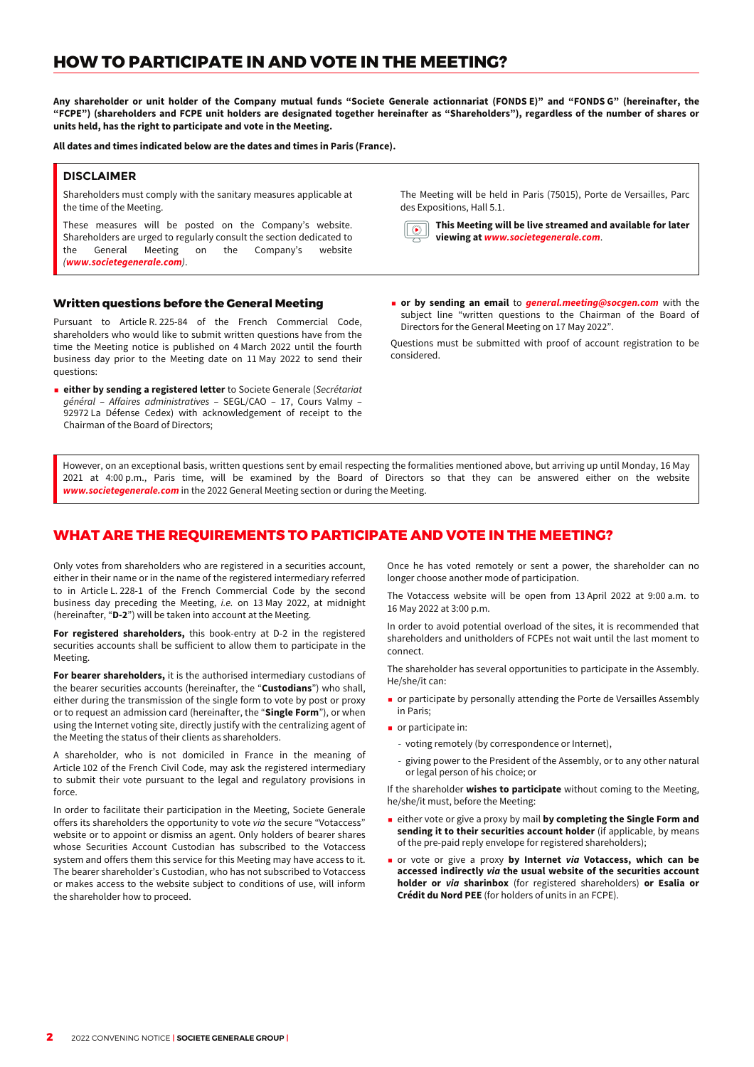# **HOW TO PARTICIPATE IN AND VOTE IN THE MEETING?**

**Any shareholder or unit holder of the Company mutual funds "Societe Generale actionnariat (FONDS E)" and "FONDS G" (hereinafter, the "FCPE") (shareholders and FCPE unit holders are designated together hereinafter as "Shareholders"), regardless of the number of shares or units held, has the right to participate and vote in the Meeting.**

**All dates and times indicated below are the dates and times in Paris (France).**

### **DISCLAIMER**

Shareholders must comply with the sanitary measures applicable at the time of the Meeting.

These measures will be posted on the Company's website. Shareholders are urged to regularly consult the section dedicated to the General Meeting on the Company's website (**www.societegenerale.com**).

#### **Written questions before the General Meeting**

Pursuant to Article R. 225-84 of the French Commercial Code, shareholders who would like to submit written questions have from the time the Meeting notice is published on 4 March 2022 until the fourth business day prior to the Meeting date on 11 May 2022 to send their questions:

p **either by sending a registered letter** to Societe Generale (Secrétariat général – Affaires administratives – SEGL/CAO – 17, Cours Valmy – 92972 La Défense Cedex) with acknowledgement of receipt to the Chairman of the Board of Directors;

The Meeting will be held in Paris (75015), Porte de Versailles, Parc des Expositions, Hall 5.1.

**This Meeting will be live streamed and available for later**  $\sqrt{ }$ **viewing at www.societegenerale.com**.

**p** or by sending an email to *general.meeting@socgen.com* with the subject line "written questions to the Chairman of the Board of Directors for the General Meeting on 17 May 2022".

Questions must be submitted with proof of account registration to be considered.

However, on an exceptional basis, written questions sent by email respecting the formalities mentioned above, but arriving up until Monday, 16 May 2021 at 4:00 p.m., Paris time, will be examined by the Board of Directors so that they can be answered either on the website **www.societegenerale.com** in the 2022 General Meeting section or during the Meeting.

# WHAT ARE THE REQUIREMENTS TO PARTICIPATE AND VOTE IN THE MEETING?

Only votes from shareholders who are registered in a securities account, either in their name or in the name of the registered intermediary referred to in Article L. 228-1 of the French Commercial Code by the second business day preceding the Meeting, i.e. on 13 May 2022, at midnight (hereinafter, "**D-2**") will be taken into account at the Meeting.

**For registered shareholders,** this book-entry at D-2 in the registered securities accounts shall be sufficient to allow them to participate in the Meeting.

**For bearer shareholders,** it is the authorised intermediary custodians of the bearer securities accounts (hereinafter, the "**Custodians**") who shall, either during the transmission of the single form to vote by post or proxy or to request an admission card (hereinafter, the "**Single Form**"), or when using the Internet voting site, directly justify with the centralizing agent of the Meeting the status of their clients as shareholders.

A shareholder, who is not domiciled in France in the meaning of Article 102 of the French Civil Code, may ask the registered intermediary to submit their vote pursuant to the legal and regulatory provisions in force.

In order to facilitate their participation in the Meeting, Societe Generale offers its shareholders the opportunity to vote via the secure "Votaccess" website or to appoint or dismiss an agent. Only holders of bearer shares whose Securities Account Custodian has subscribed to the Votaccess system and offers them this service for this Meeting may have access to it. The bearer shareholder's Custodian, who has not subscribed to Votaccess or makes access to the website subject to conditions of use, will inform the shareholder how to proceed.

Once he has voted remotely or sent a power, the shareholder can no longer choose another mode of participation.

The Votaccess website will be open from 13 April 2022 at 9:00 a.m. to 16 May 2022 at 3:00 p.m.

In order to avoid potential overload of the sites, it is recommended that shareholders and unitholders of FCPEs not wait until the last moment to connect.

The shareholder has several opportunities to participate in the Assembly. He/she/it can:

- **P** or participate by personally attending the Porte de Versailles Assembly in Paris;
- $\blacksquare$  or participate in:
	- voting remotely (by correspondence or Internet),
	- giving power to the President of the Assembly, or to any other natural or legal person of his choice; or

If the shareholder **wishes to participate** without coming to the Meeting, he/she/it must, before the Meeting:

- p either vote or give a proxy by mail **by completing the Single Form and sending it to their securities account holder** (if applicable, by means of the pre-paid reply envelope for registered shareholders);
- p or vote or give a proxy **by Internet via Votaccess, which can be accessed indirectly via the usual website of the securities account holder or via sharinbox** (for registered shareholders) **or Esalia or Crédit du Nord PEE** (for holders of units in an FCPE).